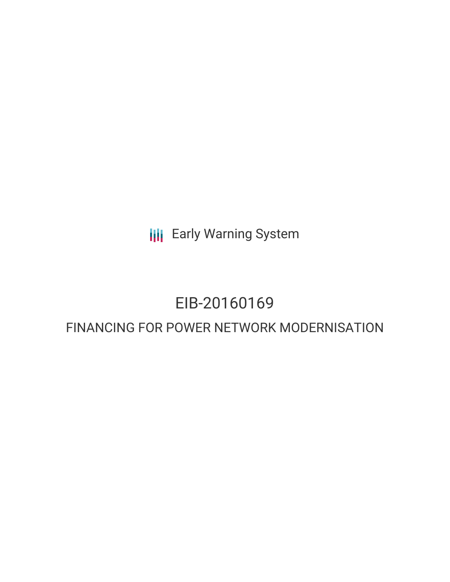**III** Early Warning System

# EIB-20160169

# FINANCING FOR POWER NETWORK MODERNISATION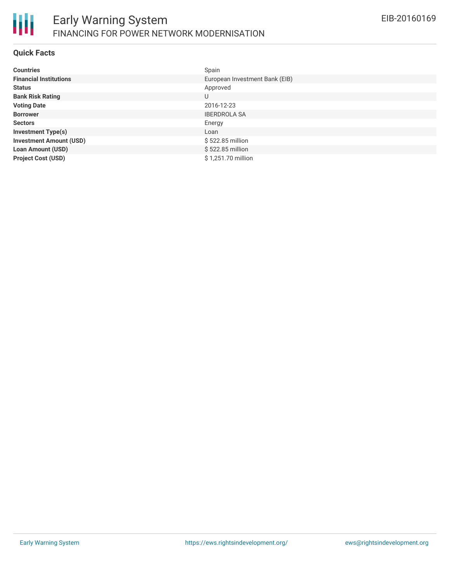

#### **Quick Facts**

| <b>Countries</b>               | Spain                          |
|--------------------------------|--------------------------------|
| <b>Financial Institutions</b>  | European Investment Bank (EIB) |
| <b>Status</b>                  | Approved                       |
| <b>Bank Risk Rating</b>        | U                              |
| <b>Voting Date</b>             | 2016-12-23                     |
| <b>Borrower</b>                | <b>IBERDROLA SA</b>            |
| <b>Sectors</b>                 | Energy                         |
| <b>Investment Type(s)</b>      | Loan                           |
| <b>Investment Amount (USD)</b> | \$522.85 million               |
| Loan Amount (USD)              | \$522.85 million               |
| <b>Project Cost (USD)</b>      | \$1,251.70 million             |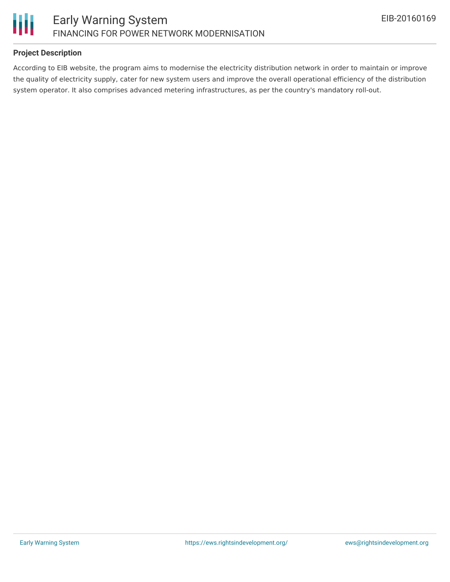

## **Project Description**

According to EIB website, the program aims to modernise the electricity distribution network in order to maintain or improve the quality of electricity supply, cater for new system users and improve the overall operational efficiency of the distribution system operator. It also comprises advanced metering infrastructures, as per the country's mandatory roll-out.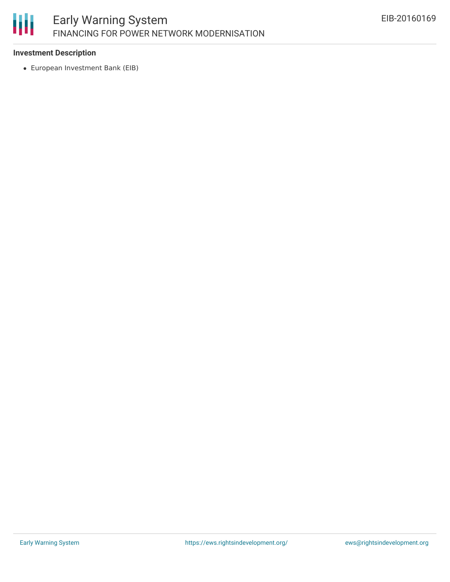

## **Investment Description**

European Investment Bank (EIB)